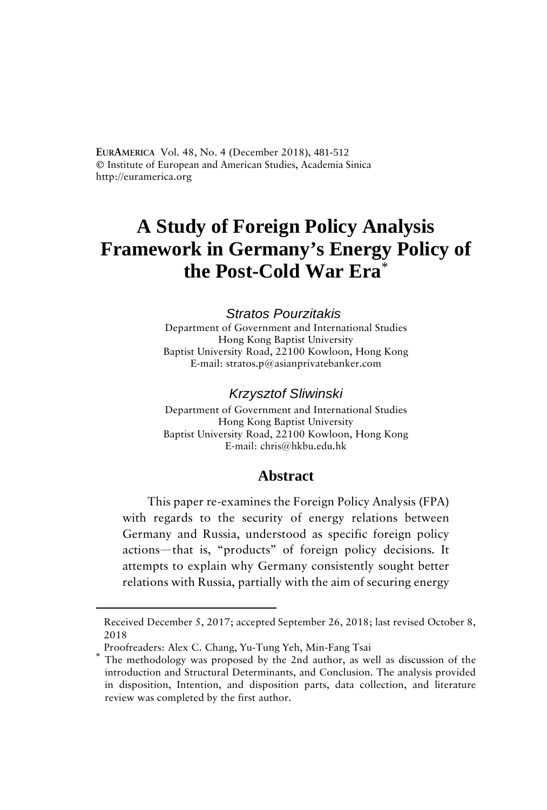**EURAMERICA** Vol. 48, No. 4 (December 2018), 481-512 **©** Institute of European and American Studies, Academia Sinica http://euramerica.org

# **A Study of Foreign Policy Analysis Framework in Germany's Energy Policy of the Post-Cold War Era**\*

#### *Stratos Pourzitakis*

Department of Government and International Studies Hong Kong Baptist University Baptist University Road, 22100 Kowloon, Hong Kong E-mail: stratos.p@asianprivatebanker.com

#### *Krzysztof Sliwinski*

Department of Government and International Studies Hong Kong Baptist University Baptist University Road, 22100 Kowloon, Hong Kong E-mail: chris@hkbu.edu.hk

#### **Abstract**

This paper re-examines the Foreign Policy Analysis (FPA) with regards to the security of energy relations between Germany and Russia, understood as specific foreign policy actions—that is, "products" of foreign policy decisions. It attempts to explain why Germany consistently sought better relations with Russia, partially with the aim of securing energy

<span id="page-0-0"></span> $\overline{a}$ 

Received December 5, 2017; accepted September 26, 2018; last revised October 8, 2018

Proofreaders: Alex C. Chang, Yu-Tung Yeh, Min-Fang Tsai<br>The methodology was proposed by the 2nd author, as well as discussion of the introduction and Structural Determinants, and Conclusion. The analysis provided in disposition, Intention, and disposition parts, data collection, and literature review was completed by the first author.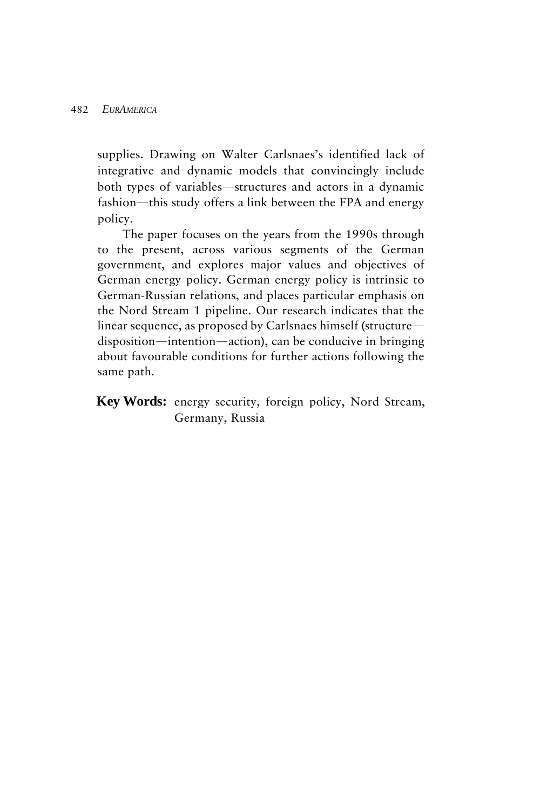supplies. Drawing on Walter Carlsnaes's identified lack of integrative and dynamic models that convincingly include both types of variables—structures and actors in a dynamic fashion—this study offers a link between the FPA and energy policy.

The paper focuses on the years from the 1990s through to the present, across various segments of the German government, and explores major values and objectives of German energy policy. German energy policy is intrinsic to German-Russian relations, and places particular emphasis on the Nord Stream 1 pipeline. Our research indicates that the linear sequence, as proposed by Carlsnaes himself (structure disposition—intention—action), can be conducive in bringing about favourable conditions for further actions following the same path.

**Key Words:** energy security, foreign policy, Nord Stream, Germany, Russia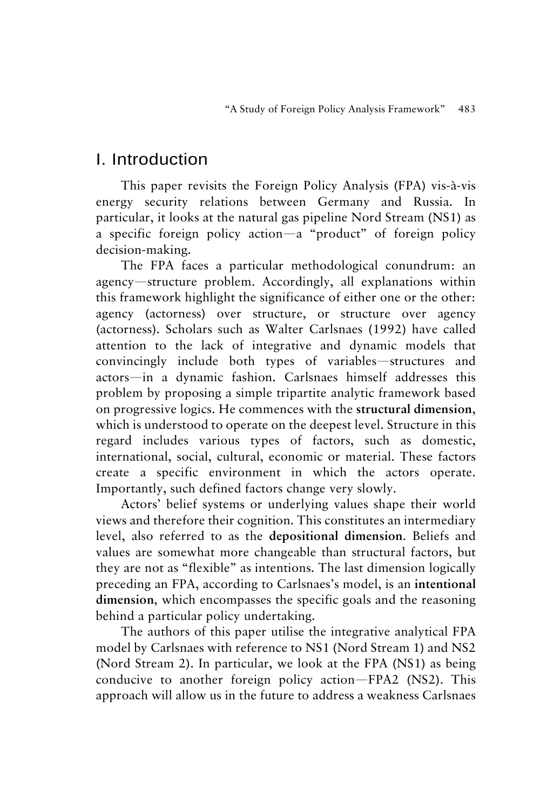### I. Introduction

This paper revisits the Foreign Policy Analysis (FPA) vis-à-vis energy security relations between Germany and Russia. In particular, it looks at the natural gas pipeline Nord Stream (NS1) as a specific foreign policy action—a "product" of foreign policy decision-making.

The FPA faces a particular methodological conundrum: an agency—structure problem. Accordingly, all explanations within this framework highlight the significance of either one or the other: agency (actorness) over structure, or structure over agency (actorness). Scholars such as Walter Carlsnaes (1992) have called attention to the lack of integrative and dynamic models that convincingly include both types of variables—structures and actors—in a dynamic fashion. Carlsnaes himself addresses this problem by proposing a simple tripartite analytic framework based on progressive logics. He commences with the **structural dimension**, which is understood to operate on the deepest level. Structure in this regard includes various types of factors, such as domestic, international, social, cultural, economic or material. These factors create a specific environment in which the actors operate. Importantly, such defined factors change very slowly.

Actors' belief systems or underlying values shape their world views and therefore their cognition. This constitutes an intermediary level, also referred to as the **depositional dimension**. Beliefs and values are somewhat more changeable than structural factors, but they are not as "flexible" as intentions. The last dimension logically preceding an FPA, according to Carlsnaes's model, is an **intentional dimension**, which encompasses the specific goals and the reasoning behind a particular policy undertaking.

The authors of this paper utilise the integrative analytical FPA model by Carlsnaes with reference to NS1 (Nord Stream 1) and NS2 (Nord Stream 2). In particular, we look at the FPA (NS1) as being conducive to another foreign policy action—FPA2 (NS2). This approach will allow us in the future to address a weakness Carlsnaes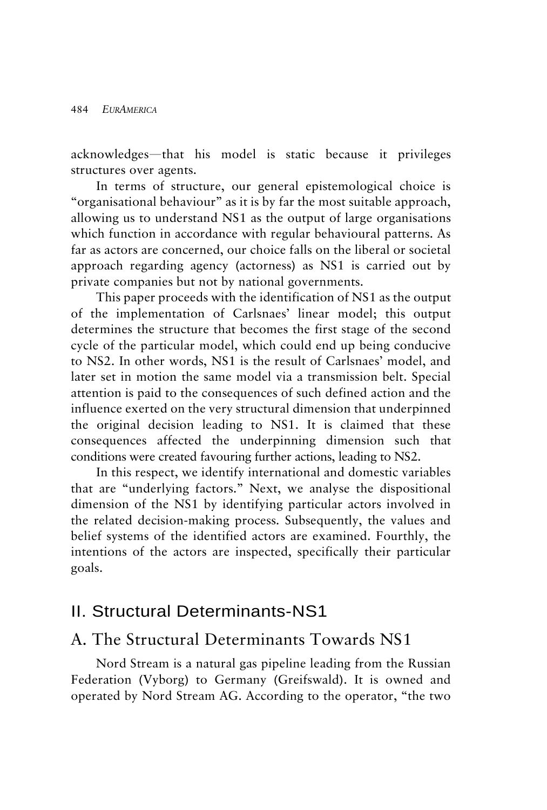acknowledges—that his model is static because it privileges structures over agents.

In terms of structure, our general epistemological choice is "organisational behaviour" as it is by far the most suitable approach, allowing us to understand NS1 as the output of large organisations which function in accordance with regular behavioural patterns. As far as actors are concerned, our choice falls on the liberal or societal approach regarding agency (actorness) as NS1 is carried out by private companies but not by national governments.

This paper proceeds with the identification of NS1 as the output of the implementation of Carlsnaes' linear model; this output determines the structure that becomes the first stage of the second cycle of the particular model, which could end up being conducive to NS2. In other words, NS1 is the result of Carlsnaes' model, and later set in motion the same model via a transmission belt. Special attention is paid to the consequences of such defined action and the influence exerted on the very structural dimension that underpinned the original decision leading to NS1. It is claimed that these consequences affected the underpinning dimension such that conditions were created favouring further actions, leading to NS2.

In this respect, we identify international and domestic variables that are "underlying factors." Next, we analyse the dispositional dimension of the NS1 by identifying particular actors involved in the related decision-making process. Subsequently, the values and belief systems of the identified actors are examined. Fourthly, the intentions of the actors are inspected, specifically their particular goals.

### II. Structural Determinants-NS1

### A. The Structural Determinants Towards NS1

Nord Stream is a natural gas pipeline leading from the Russian Federation (Vyborg) to Germany (Greifswald). It is owned and operated by Nord Stream AG. According to the operator, "the two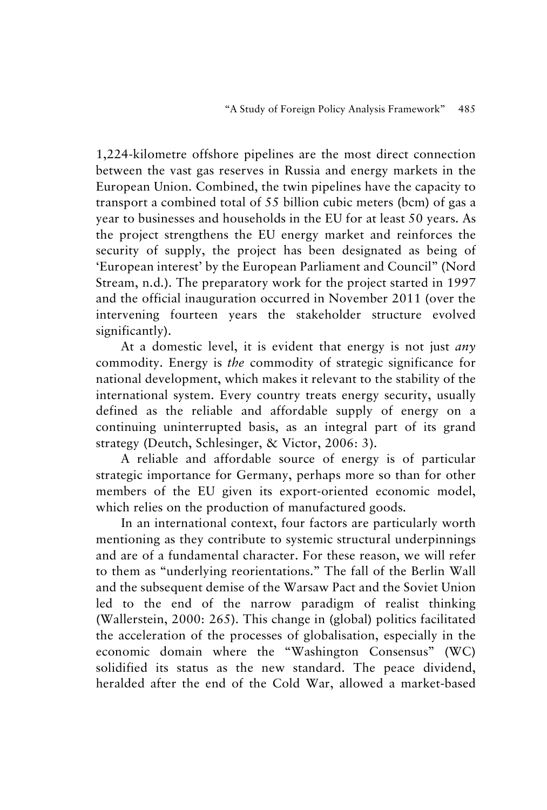1,224-kilometre offshore pipelines are the most direct connection between the vast gas reserves in Russia and energy markets in the European Union. Combined, the twin pipelines have the capacity to transport a combined total of 55 billion cubic meters (bcm) of gas a year to businesses and households in the EU for at least 50 years. As the project strengthens the EU energy market and reinforces the security of supply, the project has been designated as being of 'European interest' by the European Parliament and Council" (Nord Stream, n.d.). The preparatory work for the project started in 1997 and the official inauguration occurred in November 2011 (over the intervening fourteen years the stakeholder structure evolved significantly).

At a domestic level, it is evident that energy is not just *any* commodity. Energy is *the* commodity of strategic significance for national development, which makes it relevant to the stability of the international system. Every country treats energy security, usually defined as the reliable and affordable supply of energy on a continuing uninterrupted basis, as an integral part of its grand strategy (Deutch, Schlesinger, & Victor, 2006: 3).

A reliable and affordable source of energy is of particular strategic importance for Germany, perhaps more so than for other members of the EU given its export-oriented economic model, which relies on the production of manufactured goods.

In an international context, four factors are particularly worth mentioning as they contribute to systemic structural underpinnings and are of a fundamental character. For these reason, we will refer to them as "underlying reorientations." The fall of the Berlin Wall and the subsequent demise of the Warsaw Pact and the Soviet Union led to the end of the narrow paradigm of realist thinking (Wallerstein, 2000: 265). This change in (global) politics facilitated the acceleration of the processes of globalisation, especially in the economic domain where the "Washington Consensus" (WC) solidified its status as the new standard. The peace dividend, heralded after the end of the Cold War, allowed a market-based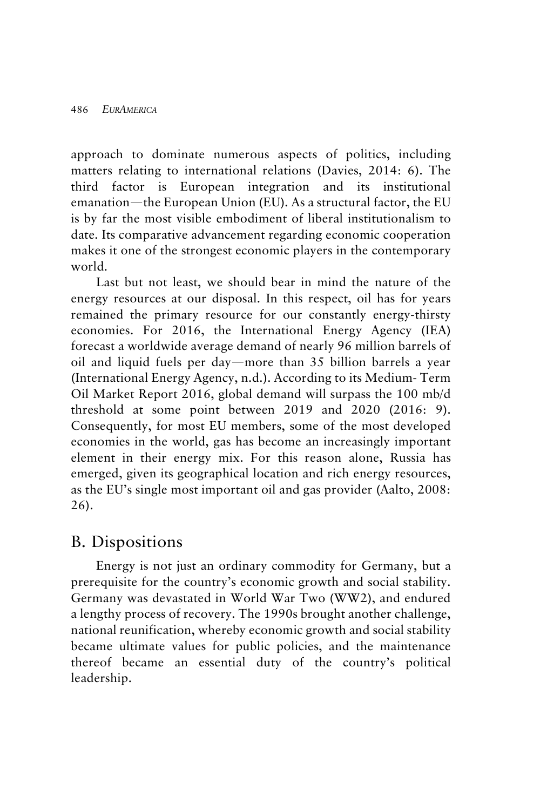approach to dominate numerous aspects of politics, including matters relating to international relations (Davies, 2014: 6). The third factor is European integration and its institutional emanation—the European Union (EU). As a structural factor, the EU is by far the most visible embodiment of liberal institutionalism to date. Its comparative advancement regarding economic cooperation makes it one of the strongest economic players in the contemporary world.

Last but not least, we should bear in mind the nature of the energy resources at our disposal. In this respect, oil has for years remained the primary resource for our constantly energy-thirsty economies. For 2016, the International Energy Agency (IEA) forecast a worldwide average demand of nearly 96 million barrels of oil and liquid fuels per day—more than 35 billion barrels a year (International Energy Agency, n.d.). According to its Medium- Term Oil Market Report 2016, global demand will surpass the 100 mb/d threshold at some point between 2019 and 2020 (2016: 9). Consequently, for most EU members, some of the most developed economies in the world, gas has become an increasingly important element in their energy mix. For this reason alone, Russia has emerged, given its geographical location and rich energy resources, as the EU's single most important oil and gas provider (Aalto, 2008: 26).

### B. Dispositions

Energy is not just an ordinary commodity for Germany, but a prerequisite for the country's economic growth and social stability. Germany was devastated in World War Two (WW2), and endured a lengthy process of recovery. The 1990s brought another challenge, national reunification, whereby economic growth and social stability became ultimate values for public policies, and the maintenance thereof became an essential duty of the country's political leadership.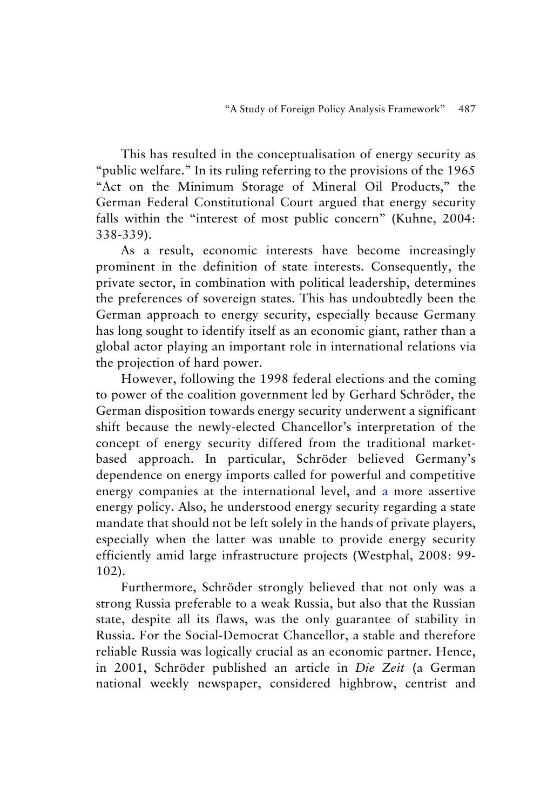This has resulted in the conceptualisation of energy security as "public welfare." In its ruling referring to the provisions of the 1965 "Act on the Minimum Storage of Mineral Oil Products," the German Federal Constitutional Court argued that energy security falls within the "interest of most public concern" (Kuhne, 2004: 338-339).

As a result, economic interests have become increasingly prominent in the definition of state interests. Consequently, the private sector, in combination with political leadership, determines the preferences of sovereign states. This has undoubtedly been the German approach to energy security, especially because Germany has long sought to identify itself as an economic giant, rather than a global actor playing an important role in international relations via the projection of hard power.

However, following the 1998 federal elections and the coming to power of the coalition government led by Gerhard Schröder, the German disposition towards energy security underwent a significant shift because the newly-elected Chancellor's interpretation of the concept of energy security differed from the traditional marketbased approach. In particular, Schröder believed Germany's dependence on energy imports called for powerful and competitive energy companies at the international level, and a more assertive energy policy. Also, he understood energy security regarding a state mandate that should not be left solely in the hands of private players, especially when the latter was unable to provide energy security efficiently amid large infrastructure projects (Westphal, 2008: 99- 102).

Furthermore, Schröder strongly believed that not only was a strong Russia preferable to a weak Russia, but also that the Russian state, despite all its flaws, was the only guarantee of stability in Russia. For the Social-Democrat Chancellor, a stable and therefore reliable Russia was logically crucial as an economic partner. Hence, in 2001, Schröder published an article in *Die Zeit* (a German national weekly newspaper, considered highbrow, centrist and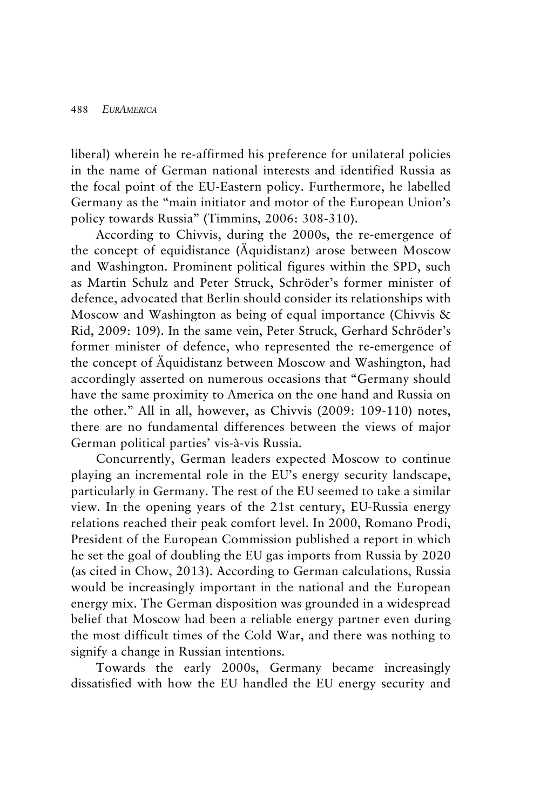liberal) wherein he re-affirmed his preference for unilateral policies in the name of German national interests and identified Russia as the focal point of the EU-Eastern policy. Furthermore, he labelled Germany as the "main initiator and motor of the European Union's policy towards Russia" (Timmins, 2006: 308-310).

According to Chivvis, during the 2000s, the re-emergence of the concept of equidistance (Äquidistanz) arose between Moscow and Washington. Prominent political figures within the SPD, such as Martin Schulz and Peter Struck, Schröder's former minister of defence, advocated that Berlin should consider its relationships with Moscow and Washington as being of equal importance (Chivvis & Rid, 2009: 109). In the same vein, Peter Struck, Gerhard Schröder's former minister of defence, who represented the re-emergence of the concept of Äquidistanz between Moscow and Washington, had accordingly asserted on numerous occasions that "Germany should have the same proximity to America on the one hand and Russia on the other." All in all, however, as Chivvis (2009: 109-110) notes, there are no fundamental differences between the views of major German political parties' vis-à-vis Russia.

Concurrently, German leaders expected Moscow to continue playing an incremental role in the EU's energy security landscape, particularly in Germany. The rest of the EU seemed to take a similar view. In the opening years of the 21st century, EU-Russia energy relations reached their peak comfort level. In 2000, Romano Prodi, President of the European Commission published a report in which he set the goal of doubling the EU gas imports from Russia by 2020 (as cited in Chow, 2013). According to German calculations, Russia would be increasingly important in the national and the European energy mix. The German disposition was grounded in a widespread belief that Moscow had been a reliable energy partner even during the most difficult times of the Cold War, and there was nothing to signify a change in Russian intentions.

Towards the early 2000s, Germany became increasingly dissatisfied with how the EU handled the EU energy security and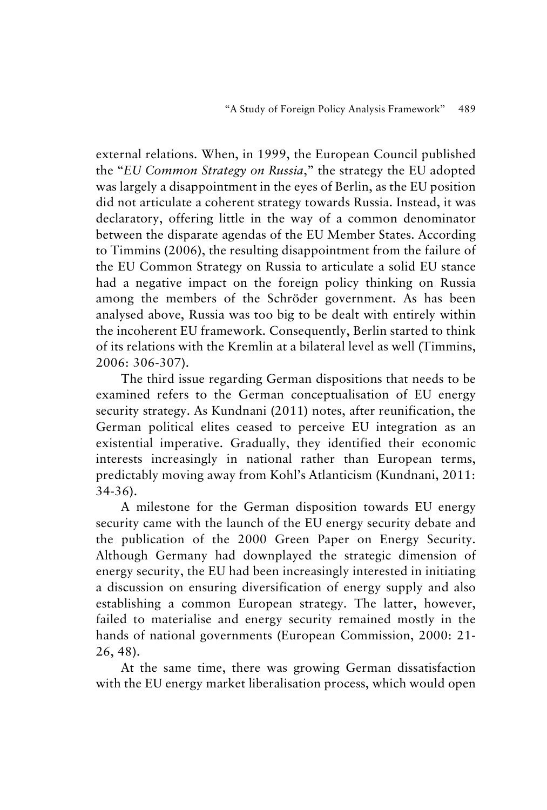external relations. When, in 1999, the European Council published the "*EU Common Strategy on Russia*," the strategy the EU adopted was largely a disappointment in the eyes of Berlin, as the EU position did not articulate a coherent strategy towards Russia. Instead, it was declaratory, offering little in the way of a common denominator between the disparate agendas of the EU Member States. According to Timmins (2006), the resulting disappointment from the failure of the EU Common Strategy on Russia to articulate a solid EU stance had a negative impact on the foreign policy thinking on Russia among the members of the Schröder government. As has been analysed above, Russia was too big to be dealt with entirely within the incoherent EU framework. Consequently, Berlin started to think of its relations with the Kremlin at a bilateral level as well (Timmins, 2006: 306-307).

The third issue regarding German dispositions that needs to be examined refers to the German conceptualisation of EU energy security strategy. As Kundnani (2011) notes, after reunification, the German political elites ceased to perceive EU integration as an existential imperative. Gradually, they identified their economic interests increasingly in national rather than European terms, predictably moving away from Kohl's Atlanticism (Kundnani, 2011: 34-36).

A milestone for the German disposition towards EU energy security came with the launch of the EU energy security debate and the publication of the 2000 Green Paper on Energy Security. Although Germany had downplayed the strategic dimension of energy security, the EU had been increasingly interested in initiating a discussion on ensuring diversification of energy supply and also establishing a common European strategy. The latter, however, failed to materialise and energy security remained mostly in the hands of national governments (European Commission, 2000: 21- 26, 48).

At the same time, there was growing German dissatisfaction with the EU energy market liberalisation process, which would open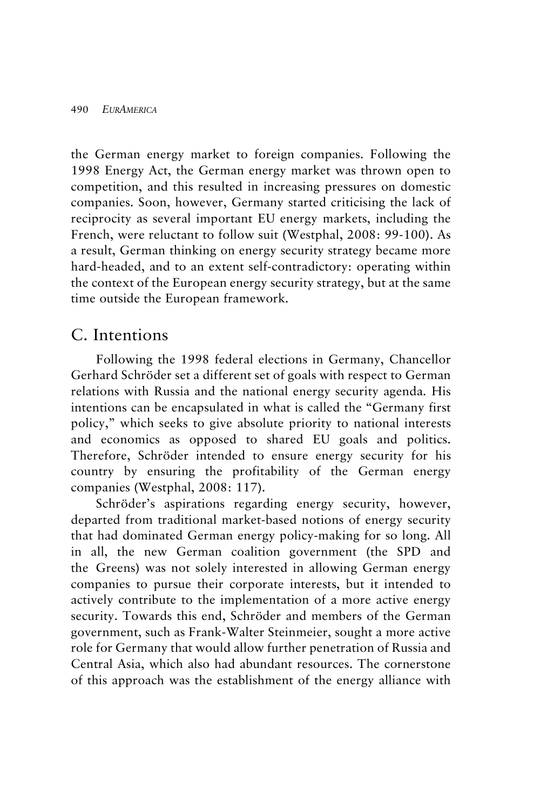the German energy market to foreign companies. Following the 1998 Energy Act, the German energy market was thrown open to competition, and this resulted in increasing pressures on domestic companies. Soon, however, Germany started criticising the lack of reciprocity as several important EU energy markets, including the French, were reluctant to follow suit (Westphal, 2008: 99-100). As a result, German thinking on energy security strategy became more hard-headed, and to an extent self-contradictory: operating within the context of the European energy security strategy, but at the same time outside the European framework.

#### C. Intentions

Following the 1998 federal elections in Germany, Chancellor Gerhard Schröder set a different set of goals with respect to German relations with Russia and the national energy security agenda. His intentions can be encapsulated in what is called the "Germany first policy," which seeks to give absolute priority to national interests and economics as opposed to shared EU goals and politics. Therefore, Schröder intended to ensure energy security for his country by ensuring the profitability of the German energy companies (Westphal, 2008: 117).

Schröder's aspirations regarding energy security, however, departed from traditional market-based notions of energy security that had dominated German energy policy-making for so long. All in all, the new German coalition government (the SPD and the Greens) was not solely interested in allowing German energy companies to pursue their corporate interests, but it intended to actively contribute to the implementation of a more active energy security. Towards this end, Schröder and members of the German government, such as Frank-Walter Steinmeier, sought a more active role for Germany that would allow further penetration of Russia and Central Asia, which also had abundant resources. The cornerstone of this approach was the establishment of the energy alliance with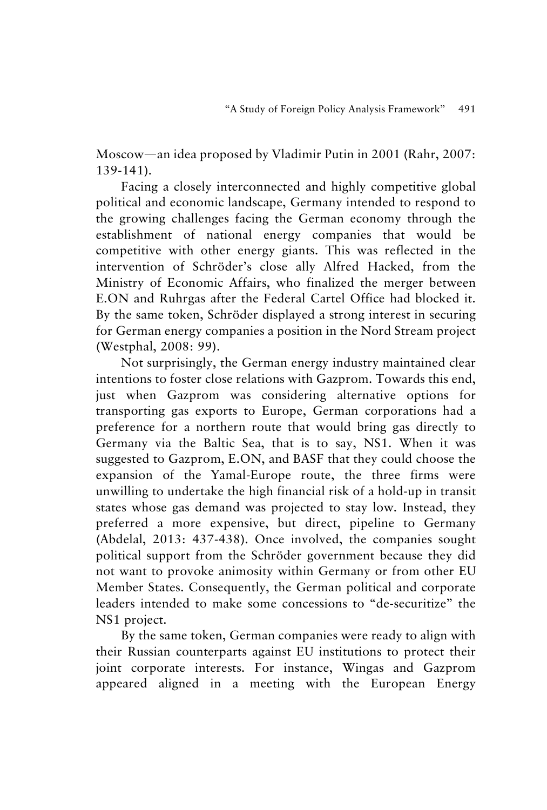Moscow—an idea proposed by Vladimir Putin in 2001 (Rahr, 2007: 139-141).

Facing a closely interconnected and highly competitive global political and economic landscape, Germany intended to respond to the growing challenges facing the German economy through the establishment of national energy companies that would be competitive with other energy giants. This was reflected in the intervention of Schröder's close ally Alfred Hacked, from the Ministry of Economic Affairs, who finalized the merger between E.ON and Ruhrgas after the Federal Cartel Office had blocked it. By the same token, Schröder displayed a strong interest in securing for German energy companies a position in the Nord Stream project (Westphal, 2008: 99).

Not surprisingly, the German energy industry maintained clear intentions to foster close relations with Gazprom. Towards this end, just when Gazprom was considering alternative options for transporting gas exports to Europe, German corporations had a preference for a northern route that would bring gas directly to Germany via the Baltic Sea, that is to say, NS1. When it was suggested to Gazprom, E.ON, and BASF that they could choose the expansion of the Yamal-Europe route, the three firms were unwilling to undertake the high financial risk of a hold-up in transit states whose gas demand was projected to stay low. Instead, they preferred a more expensive, but direct, pipeline to Germany (Abdelal, 2013: 437-438). Once involved, the companies sought political support from the Schröder government because they did not want to provoke animosity within Germany or from other EU Member States. Consequently, the German political and corporate leaders intended to make some concessions to "de-securitize" the NS1 project.

By the same token, German companies were ready to align with their Russian counterparts against EU institutions to protect their joint corporate interests. For instance, Wingas and Gazprom appeared aligned in a meeting with the European Energy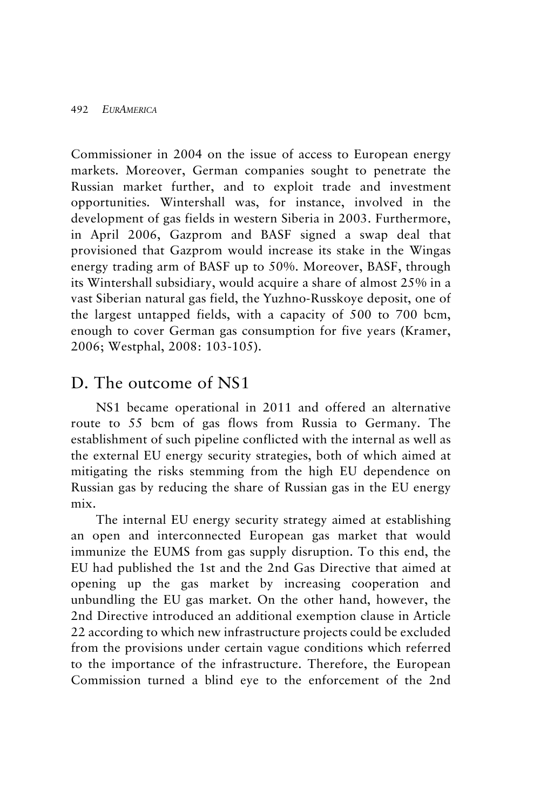Commissioner in 2004 on the issue of access to European energy markets. Moreover, German companies sought to penetrate the Russian market further, and to exploit trade and investment opportunities. Wintershall was, for instance, involved in the development of gas fields in western Siberia in 2003. Furthermore, in April 2006, Gazprom and BASF signed a swap deal that provisioned that Gazprom would increase its stake in the Wingas energy trading arm of BASF up to 50%. Moreover, BASF, through its Wintershall subsidiary, would acquire a share of almost 25% in a vast Siberian natural gas field, the Yuzhno-Russkoye deposit, one of the largest untapped fields, with a capacity of 500 to 700 bcm, enough to cover German gas consumption for five years (Kramer, 2006; Westphal, 2008: 103-105).

### D. The outcome of NS1

NS1 became operational in 2011 and offered an alternative route to 55 bcm of gas flows from Russia to Germany. The establishment of such pipeline conflicted with the internal as well as the external EU energy security strategies, both of which aimed at mitigating the risks stemming from the high EU dependence on Russian gas by reducing the share of Russian gas in the EU energy mix.

The internal EU energy security strategy aimed at establishing an open and interconnected European gas market that would immunize the EUMS from gas supply disruption. To this end, the EU had published the 1st and the 2nd Gas Directive that aimed at opening up the gas market by increasing cooperation and unbundling the EU gas market. On the other hand, however, the 2nd Directive introduced an additional exemption clause in Article 22 according to which new infrastructure projects could be excluded from the provisions under certain vague conditions which referred to the importance of the infrastructure. Therefore, the European Commission turned a blind eye to the enforcement of the 2nd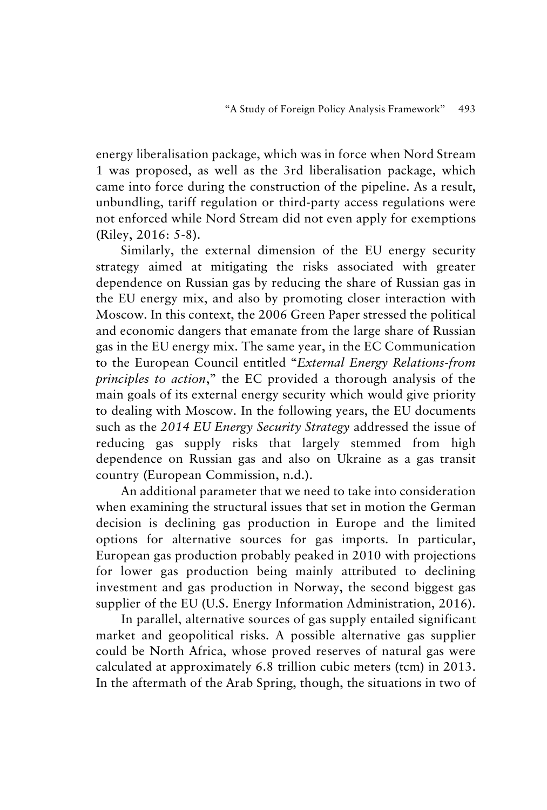energy liberalisation package, which was in force when Nord Stream 1 was proposed, as well as the 3rd liberalisation package, which came into force during the construction of the pipeline. As a result, unbundling, tariff regulation or third-party access regulations were not enforced while Nord Stream did not even apply for exemptions (Riley, 2016: 5-8).

Similarly, the external dimension of the EU energy security strategy aimed at mitigating the risks associated with greater dependence on Russian gas by reducing the share of Russian gas in the EU energy mix, and also by promoting closer interaction with Moscow. In this context, the 2006 Green Paper stressed the political and economic dangers that emanate from the large share of Russian gas in the EU energy mix. The same year, in the EC Communication to the European Council entitled "*External Energy Relations-from principles to action*," the EC provided a thorough analysis of the main goals of its external energy security which would give priority to dealing with Moscow. In the following years, the EU documents such as the *2014 EU Energy Security Strategy* addressed the issue of reducing gas supply risks that largely stemmed from high dependence on Russian gas and also on Ukraine as a gas transit country (European Commission, n.d.).

An additional parameter that we need to take into consideration when examining the structural issues that set in motion the German decision is declining gas production in Europe and the limited options for alternative sources for gas imports. In particular, European gas production probably peaked in 2010 with projections for lower gas production being mainly attributed to declining investment and gas production in Norway, the second biggest gas supplier of the EU (U.S. Energy Information Administration, 2016).

In parallel, alternative sources of gas supply entailed significant market and geopolitical risks. A possible alternative gas supplier could be North Africa, whose proved reserves of natural gas were calculated at approximately 6.8 trillion cubic meters (tcm) in 2013. In the aftermath of the Arab Spring, though, the situations in two of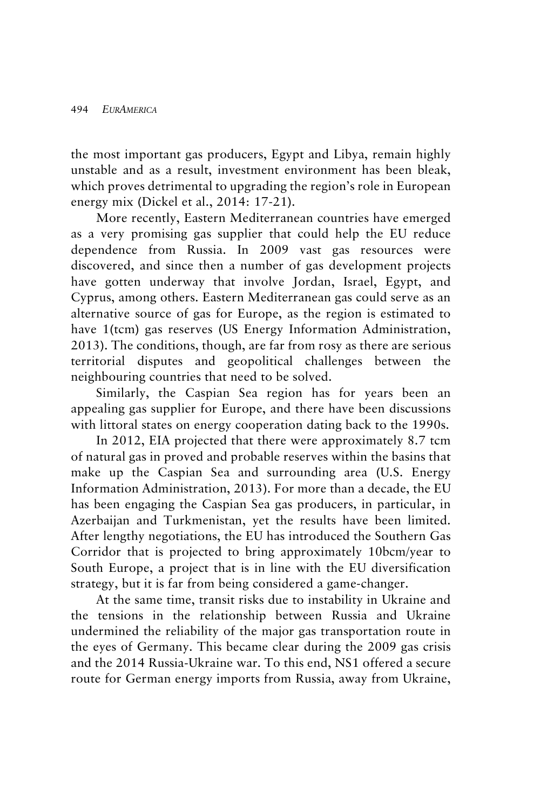the most important gas producers, Egypt and Libya, remain highly unstable and as a result, investment environment has been bleak, which proves detrimental to upgrading the region's role in European energy mix (Dickel et al., 2014: 17-21).

More recently, Eastern Mediterranean countries have emerged as a very promising gas supplier that could help the EU reduce dependence from Russia. In 2009 vast gas resources were discovered, and since then a number of gas development projects have gotten underway that involve Jordan, Israel, Egypt, and Cyprus, among others. Eastern Mediterranean gas could serve as an alternative source of gas for Europe, as the region is estimated to have 1(tcm) gas reserves (US Energy Information Administration, 2013). The conditions, though, are far from rosy as there are serious territorial disputes and geopolitical challenges between the neighbouring countries that need to be solved.

Similarly, the Caspian Sea region has for years been an appealing gas supplier for Europe, and there have been discussions with littoral states on energy cooperation dating back to the 1990s.

In 2012, EIA projected that there were approximately 8.7 tcm of natural gas in proved and probable reserves within the basins that make up the Caspian Sea and surrounding area (U.S. Energy Information Administration, 2013). For more than a decade, the EU has been engaging the Caspian Sea gas producers, in particular, in Azerbaijan and Turkmenistan, yet the results have been limited. After lengthy negotiations, the EU has introduced the Southern Gas Corridor that is projected to bring approximately 10bcm/year to South Europe, a project that is in line with the EU diversification strategy, but it is far from being considered a game-changer.

At the same time, transit risks due to instability in Ukraine and the tensions in the relationship between Russia and Ukraine undermined the reliability of the major gas transportation route in the eyes of Germany. This became clear during the 2009 gas crisis and the 2014 Russia-Ukraine war. To this end, NS1 offered a secure route for German energy imports from Russia, away from Ukraine,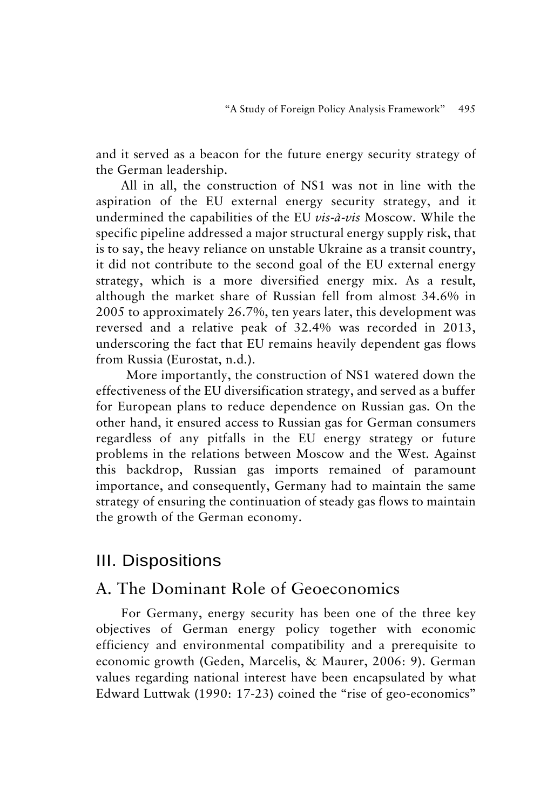and it served as a beacon for the future energy security strategy of the German leadership.

All in all, the construction of NS1 was not in line with the aspiration of the EU external energy security strategy, and it undermined the capabilities of the EU *vis-à-vis* Moscow. While the specific pipeline addressed a major structural energy supply risk, that is to say, the heavy reliance on unstable Ukraine as a transit country, it did not contribute to the second goal of the EU external energy strategy, which is a more diversified energy mix. As a result, although the market share of Russian fell from almost 34.6% in 2005 to approximately 26.7%, ten years later, this development was reversed and a relative peak of 32.4% was recorded in 2013, underscoring the fact that EU remains heavily dependent gas flows from Russia (Eurostat, n.d.).

More importantly, the construction of NS1 watered down the effectiveness of the EU diversification strategy, and served as a buffer for European plans to reduce dependence on Russian gas. On the other hand, it ensured access to Russian gas for German consumers regardless of any pitfalls in the EU energy strategy or future problems in the relations between Moscow and the West. Against this backdrop, Russian gas imports remained of paramount importance, and consequently, Germany had to maintain the same strategy of ensuring the continuation of steady gas flows to maintain the growth of the German economy.

### III. Dispositions

### A. The Dominant Role of Geoeconomics

For Germany, energy security has been one of the three key objectives of German energy policy together with economic efficiency and environmental compatibility and a prerequisite to economic growth (Geden, Marcelis, & Maurer, 2006: 9). German values regarding national interest have been encapsulated by what Edward Luttwak (1990: 17-23) coined the "rise of geo-economics"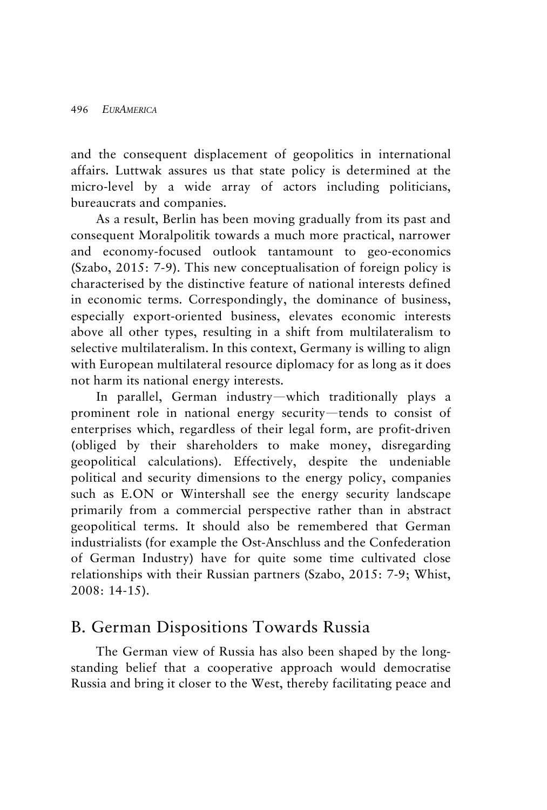and the consequent displacement of geopolitics in international affairs. Luttwak assures us that state policy is determined at the micro-level by a wide array of actors including politicians, bureaucrats and companies.

As a result, Berlin has been moving gradually from its past and consequent Moralpolitik towards a much more practical, narrower and economy-focused outlook tantamount to geo-economics (Szabo, 2015: 7-9). This new conceptualisation of foreign policy is characterised by the distinctive feature of national interests defined in economic terms. Correspondingly, the dominance of business, especially export-oriented business, elevates economic interests above all other types, resulting in a shift from multilateralism to selective multilateralism. In this context, Germany is willing to align with European multilateral resource diplomacy for as long as it does not harm its national energy interests.

In parallel, German industry—which traditionally plays a prominent role in national energy security—tends to consist of enterprises which, regardless of their legal form, are profit-driven (obliged by their shareholders to make money, disregarding geopolitical calculations). Effectively, despite the undeniable political and security dimensions to the energy policy, companies such as E.ON or Wintershall see the energy security landscape primarily from a commercial perspective rather than in abstract geopolitical terms. It should also be remembered that German industrialists (for example the Ost-Anschluss and the Confederation of German Industry) have for quite some time cultivated close relationships with their Russian partners (Szabo, 2015: 7-9; Whist, 2008: 14-15).

### B. German Dispositions Towards Russia

The German view of Russia has also been shaped by the longstanding belief that a cooperative approach would democratise Russia and bring it closer to the West, thereby facilitating peace and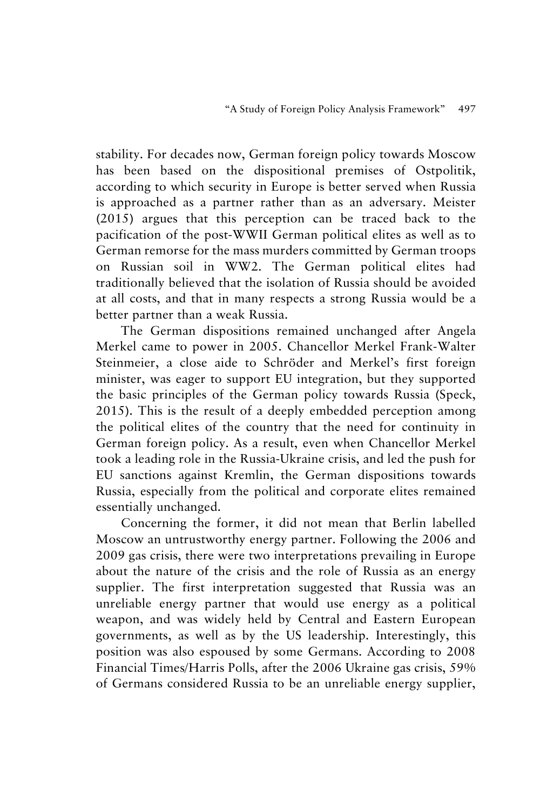stability. For decades now, German foreign policy towards Moscow has been based on the dispositional premises of Ostpolitik, according to which security in Europe is better served when Russia is approached as a partner rather than as an adversary. Meister (2015) argues that this perception can be traced back to the pacification of the post-WWII German political elites as well as to German remorse for the mass murders committed by German troops on Russian soil in WW2. The German political elites had traditionally believed that the isolation of Russia should be avoided at all costs, and that in many respects a strong Russia would be a better partner than a weak Russia.

The German dispositions remained unchanged after Angela Merkel came to power in 2005. Chancellor Merkel Frank-Walter Steinmeier, a close aide to Schröder and Merkel's first foreign minister, was eager to support EU integration, but they supported the basic principles of the German policy towards Russia (Speck, 2015). This is the result of a deeply embedded perception among the political elites of the country that the need for continuity in German foreign policy. As a result, even when Chancellor Merkel took a leading role in the Russia-Ukraine crisis, and led the push for EU sanctions against Kremlin, the German dispositions towards Russia, especially from the political and corporate elites remained essentially unchanged.

Concerning the former, it did not mean that Berlin labelled Moscow an untrustworthy energy partner. Following the 2006 and 2009 gas crisis, there were two interpretations prevailing in Europe about the nature of the crisis and the role of Russia as an energy supplier. The first interpretation suggested that Russia was an unreliable energy partner that would use energy as a political weapon, and was widely held by Central and Eastern European governments, as well as by the US leadership. Interestingly, this position was also espoused by some Germans. According to 2008 Financial Times/Harris Polls, after the 2006 Ukraine gas crisis, 59% of Germans considered Russia to be an unreliable energy supplier,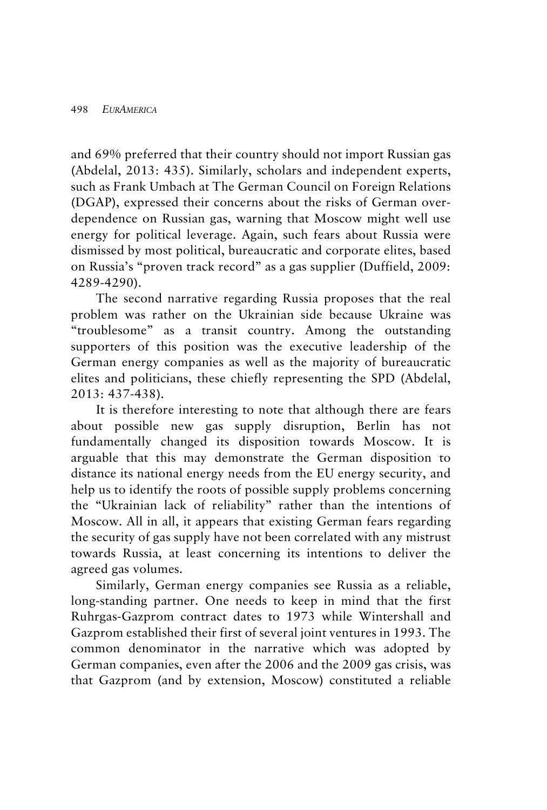and 69% preferred that their country should not import Russian gas (Abdelal, 2013: 435). Similarly, scholars and independent experts, such as Frank Umbach at The German Council on Foreign Relations (DGAP), expressed their concerns about the risks of German overdependence on Russian gas, warning that Moscow might well use energy for political leverage. Again, such fears about Russia were dismissed by most political, bureaucratic and corporate elites, based on Russia's "proven track record" as a gas supplier (Duffield, 2009: 4289-4290).

The second narrative regarding Russia proposes that the real problem was rather on the Ukrainian side because Ukraine was "troublesome" as a transit country. Among the outstanding supporters of this position was the executive leadership of the German energy companies as well as the majority of bureaucratic elites and politicians, these chiefly representing the SPD (Abdelal, 2013: 437-438).

It is therefore interesting to note that although there are fears about possible new gas supply disruption, Berlin has not fundamentally changed its disposition towards Moscow. It is arguable that this may demonstrate the German disposition to distance its national energy needs from the EU energy security, and help us to identify the roots of possible supply problems concerning the "Ukrainian lack of reliability" rather than the intentions of Moscow. All in all, it appears that existing German fears regarding the security of gas supply have not been correlated with any mistrust towards Russia, at least concerning its intentions to deliver the agreed gas volumes.

Similarly, German energy companies see Russia as a reliable, long-standing partner. One needs to keep in mind that the first Ruhrgas-Gazprom contract dates to 1973 while Wintershall and Gazprom established their first of several joint ventures in 1993. The common denominator in the narrative which was adopted by German companies, even after the 2006 and the 2009 gas crisis, was that Gazprom (and by extension, Moscow) constituted a reliable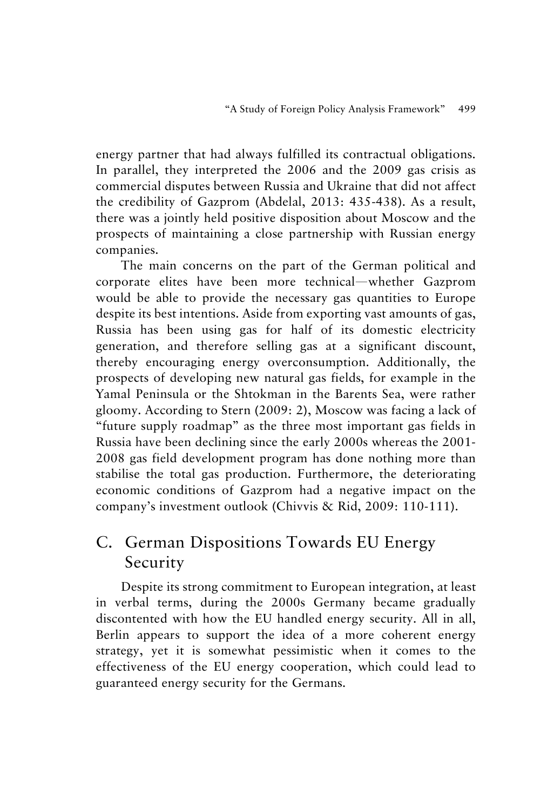energy partner that had always fulfilled its contractual obligations. In parallel, they interpreted the 2006 and the 2009 gas crisis as commercial disputes between Russia and Ukraine that did not affect the credibility of Gazprom (Abdelal, 2013: 435-438). As a result, there was a jointly held positive disposition about Moscow and the prospects of maintaining a close partnership with Russian energy companies.

The main concerns on the part of the German political and corporate elites have been more technical—whether Gazprom would be able to provide the necessary gas quantities to Europe despite its best intentions. Aside from exporting vast amounts of gas, Russia has been using gas for half of its domestic electricity generation, and therefore selling gas at a significant discount, thereby encouraging energy overconsumption. Additionally, the prospects of developing new natural gas fields, for example in the Yamal Peninsula or the Shtokman in the Barents Sea, were rather gloomy. According to Stern (2009: 2), Moscow was facing a lack of "future supply roadmap" as the three most important gas fields in Russia have been declining since the early 2000s whereas the 2001- 2008 gas field development program has done nothing more than stabilise the total gas production. Furthermore, the deteriorating economic conditions of Gazprom had a negative impact on the company's investment outlook (Chivvis & Rid, 2009: 110-111).

# C. German Dispositions Towards EU Energy Security

Despite its strong commitment to European integration, at least in verbal terms, during the 2000s Germany became gradually discontented with how the EU handled energy security. All in all, Berlin appears to support the idea of a more coherent energy strategy, yet it is somewhat pessimistic when it comes to the effectiveness of the EU energy cooperation, which could lead to guaranteed energy security for the Germans.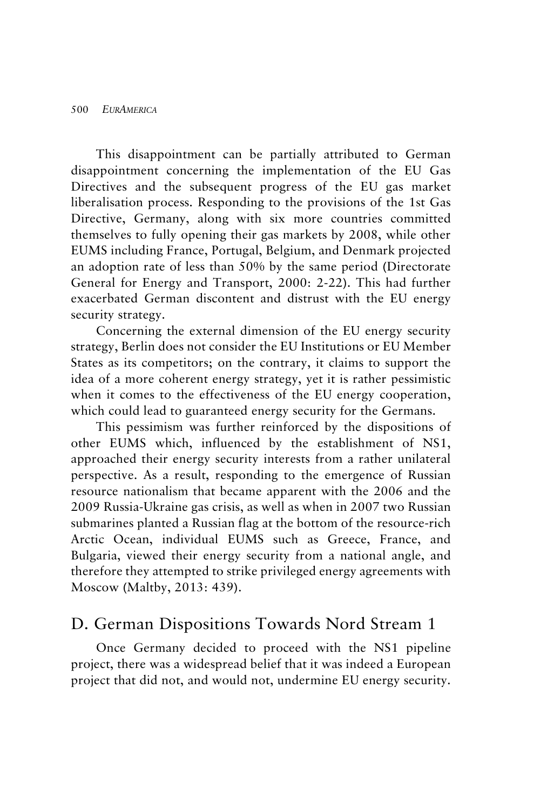This disappointment can be partially attributed to German disappointment concerning the implementation of the EU Gas Directives and the subsequent progress of the EU gas market liberalisation process. Responding to the provisions of the 1st Gas Directive, Germany, along with six more countries committed themselves to fully opening their gas markets by 2008, while other EUMS including France, Portugal, Belgium, and Denmark projected an adoption rate of less than 50% by the same period (Directorate General for Energy and Transport, 2000: 2-22). This had further exacerbated German discontent and distrust with the EU energy security strategy.

Concerning the external dimension of the EU energy security strategy, Berlin does not consider the EU Institutions or EU Member States as its competitors; on the contrary, it claims to support the idea of a more coherent energy strategy, yet it is rather pessimistic when it comes to the effectiveness of the EU energy cooperation, which could lead to guaranteed energy security for the Germans.

This pessimism was further reinforced by the dispositions of other EUMS which, influenced by the establishment of NS1, approached their energy security interests from a rather unilateral perspective. As a result, responding to the emergence of Russian resource nationalism that became apparent with the 2006 and the 2009 Russia-Ukraine gas crisis, as well as when in 2007 two Russian submarines planted a Russian flag at the bottom of the resource-rich Arctic Ocean, individual EUMS such as Greece, France, and Bulgaria, viewed their energy security from a national angle, and therefore they attempted to strike privileged energy agreements with Moscow (Maltby, 2013: 439).

### D. German Dispositions Towards Nord Stream 1

Once Germany decided to proceed with the NS1 pipeline project, there was a widespread belief that it was indeed a European project that did not, and would not, undermine EU energy security.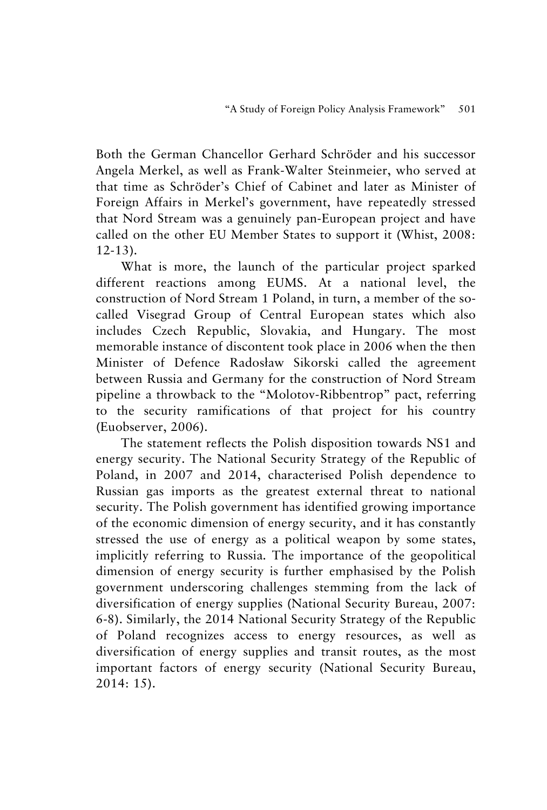Both the German Chancellor Gerhard Schröder and his successor Angela Merkel, as well as Frank-Walter Steinmeier, who served at that time as Schröder's Chief of Cabinet and later as Minister of Foreign Affairs in Merkel's government, have repeatedly stressed that Nord Stream was a genuinely pan-European project and have called on the other EU Member States to support it (Whist, 2008: 12-13).

What is more, the launch of the particular project sparked different reactions among EUMS. At a national level, the construction of Nord Stream 1 Poland, in turn, a member of the socalled Visegrad Group of Central European states which also includes Czech Republic, Slovakia, and Hungary. The most memorable instance of discontent took place in 2006 when the then Minister of Defence Radosław Sikorski called the agreement between Russia and Germany for the construction of Nord Stream pipeline a throwback to the "Molotov-Ribbentrop" pact, referring to the security ramifications of that project for his country (Euobserver, 2006).

The statement reflects the Polish disposition towards NS1 and energy security. The National Security Strategy of the Republic of Poland, in 2007 and 2014, characterised Polish dependence to Russian gas imports as the greatest external threat to national security. The Polish government has identified growing importance of the economic dimension of energy security, and it has constantly stressed the use of energy as a political weapon by some states, implicitly referring to Russia. The importance of the geopolitical dimension of energy security is further emphasised by the Polish government underscoring challenges stemming from the lack of diversification of energy supplies (National Security Bureau, 2007: 6-8). Similarly, the 2014 National Security Strategy of the Republic of Poland recognizes access to energy resources, as well as diversification of energy supplies and transit routes, as the most important factors of energy security (National Security Bureau, 2014: 15).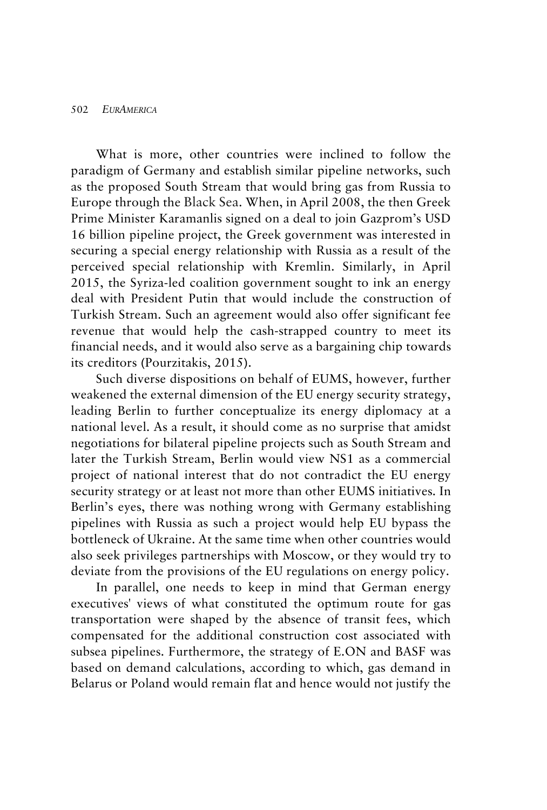What is more, other countries were inclined to follow the paradigm of Germany and establish similar pipeline networks, such as the proposed South Stream that would bring gas from Russia to Europe through the Black Sea. When, in April 2008, the then Greek Prime Minister Karamanlis signed on a deal to join Gazprom's USD 16 billion pipeline project, the Greek government was interested in securing a special energy relationship with Russia as a result of the perceived special relationship with Kremlin. Similarly, in April 2015, the Syriza-led coalition government sought to ink an energy deal with President Putin that would include the construction of Turkish Stream. Such an agreement would also offer significant fee revenue that would help the cash-strapped country to meet its financial needs, and it would also serve as a bargaining chip towards its creditors (Pourzitakis, 2015).

Such diverse dispositions on behalf of EUMS, however, further weakened the external dimension of the EU energy security strategy, leading Berlin to further conceptualize its energy diplomacy at a national level. As a result, it should come as no surprise that amidst negotiations for bilateral pipeline projects such as South Stream and later the Turkish Stream, Berlin would view NS1 as a commercial project of national interest that do not contradict the EU energy security strategy or at least not more than other EUMS initiatives. In Berlin's eyes, there was nothing wrong with Germany establishing pipelines with Russia as such a project would help EU bypass the bottleneck of Ukraine. At the same time when other countries would also seek privileges partnerships with Moscow, or they would try to deviate from the provisions of the EU regulations on energy policy.

In parallel, one needs to keep in mind that German energy executives' views of what constituted the optimum route for gas transportation were shaped by the absence of transit fees, which compensated for the additional construction cost associated with subsea pipelines. Furthermore, the strategy of E.ON and BASF was based on demand calculations, according to which, gas demand in Belarus or Poland would remain flat and hence would not justify the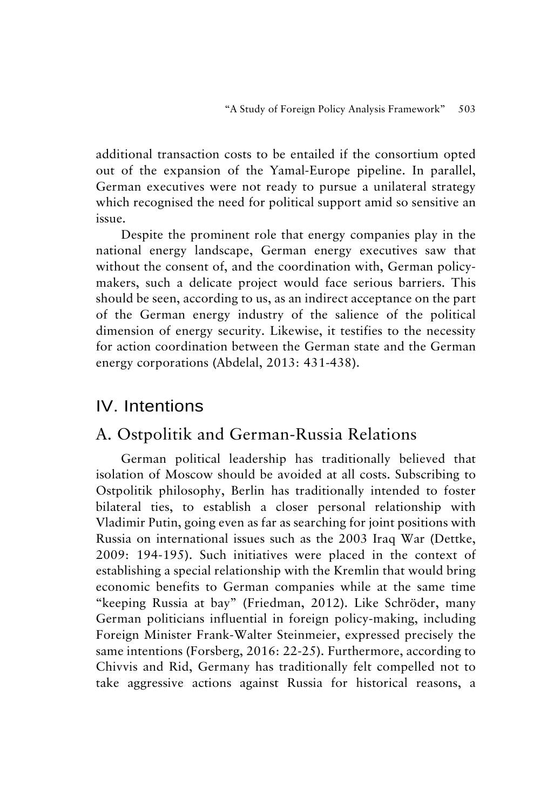additional transaction costs to be entailed if the consortium opted out of the expansion of the Yamal-Europe pipeline. In parallel, German executives were not ready to pursue a unilateral strategy which recognised the need for political support amid so sensitive an issue.

Despite the prominent role that energy companies play in the national energy landscape, German energy executives saw that without the consent of, and the coordination with, German policymakers, such a delicate project would face serious barriers. This should be seen, according to us, as an indirect acceptance on the part of the German energy industry of the salience of the political dimension of energy security. Likewise, it testifies to the necessity for action coordination between the German state and the German energy corporations (Abdelal, 2013: 431-438).

### IV. Intentions

### A. Ostpolitik and German-Russia Relations

German political leadership has traditionally believed that isolation of Moscow should be avoided at all costs. Subscribing to Ostpolitik philosophy, Berlin has traditionally intended to foster bilateral ties, to establish a closer personal relationship with Vladimir Putin, going even as far as searching for joint positions with Russia on international issues such as the 2003 Iraq War (Dettke, 2009: 194-195). Such initiatives were placed in the context of establishing a special relationship with the Kremlin that would bring economic benefits to German companies while at the same time "keeping Russia at bay" (Friedman, 2012). Like Schröder, many German politicians influential in foreign policy-making, including Foreign Minister Frank-Walter Steinmeier, expressed precisely the same intentions (Forsberg, 2016: 22-25). Furthermore, according to Chivvis and Rid, Germany has traditionally felt compelled not to take aggressive actions against Russia for historical reasons, a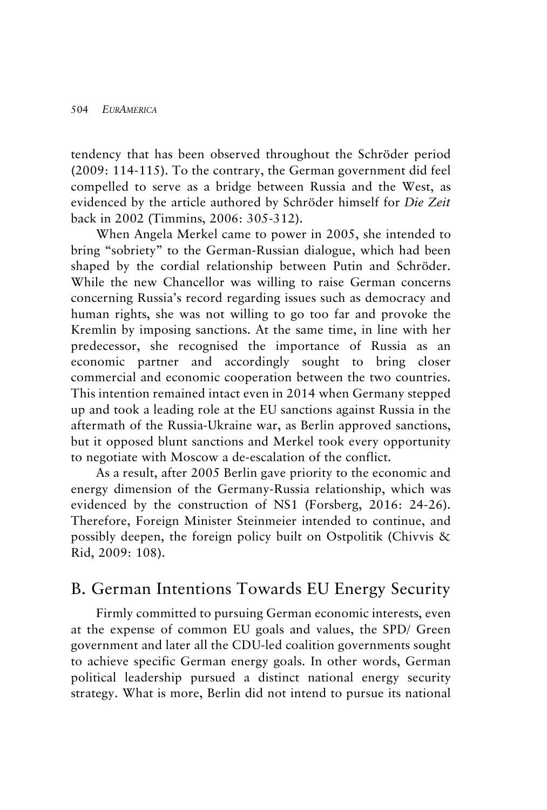tendency that has been observed throughout the Schröder period (2009: 114-115). To the contrary, the German government did feel compelled to serve as a bridge between Russia and the West, as evidenced by the article authored by Schröder himself for *Die Zeit* back in 2002 (Timmins, 2006: 305-312).

When Angela Merkel came to power in 2005, she intended to bring "sobriety" to the German-Russian dialogue, which had been shaped by the cordial relationship between Putin and Schröder. While the new Chancellor was willing to raise German concerns concerning Russia's record regarding issues such as democracy and human rights, she was not willing to go too far and provoke the Kremlin by imposing sanctions. At the same time, in line with her predecessor, she recognised the importance of Russia as an economic partner and accordingly sought to bring closer commercial and economic cooperation between the two countries. This intention remained intact even in 2014 when Germany stepped up and took a leading role at the EU sanctions against Russia in the aftermath of the Russia-Ukraine war, as Berlin approved sanctions, but it opposed blunt sanctions and Merkel took every opportunity to negotiate with Moscow a de-escalation of the conflict.

As a result, after 2005 Berlin gave priority to the economic and energy dimension of the Germany-Russia relationship, which was evidenced by the construction of NS1 (Forsberg, 2016: 24-26). Therefore, Foreign Minister Steinmeier intended to continue, and possibly deepen, the foreign policy built on Ostpolitik (Chivvis & Rid, 2009: 108).

### B. German Intentions Towards EU Energy Security

Firmly committed to pursuing German economic interests, even at the expense of common EU goals and values, the SPD/ Green government and later all the CDU-led coalition governments sought to achieve specific German energy goals. In other words, German political leadership pursued a distinct national energy security strategy. What is more, Berlin did not intend to pursue its national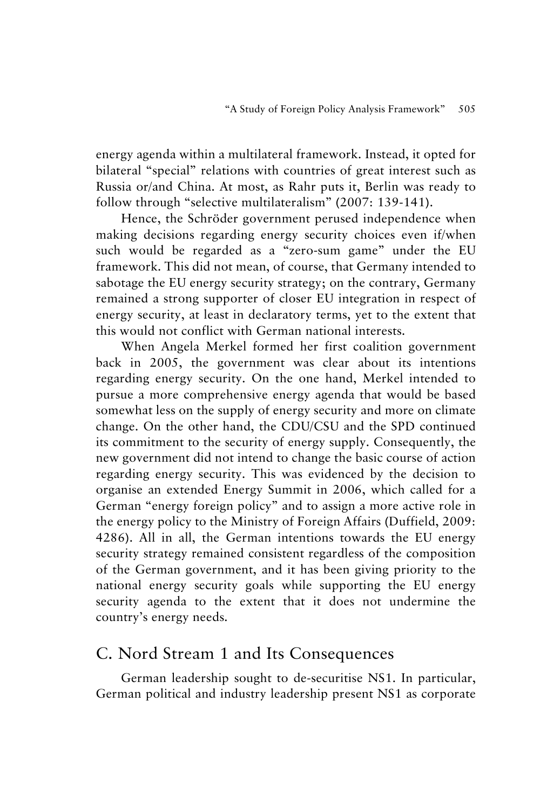energy agenda within a multilateral framework. Instead, it opted for bilateral "special" relations with countries of great interest such as Russia or/and China. At most, as Rahr puts it, Berlin was ready to follow through "selective multilateralism" (2007: 139-141).

Hence, the Schröder government perused independence when making decisions regarding energy security choices even if/when such would be regarded as a "zero-sum game" under the EU framework. This did not mean, of course, that Germany intended to sabotage the EU energy security strategy; on the contrary, Germany remained a strong supporter of closer EU integration in respect of energy security, at least in declaratory terms, yet to the extent that this would not conflict with German national interests.

When Angela Merkel formed her first coalition government back in 2005, the government was clear about its intentions regarding energy security. On the one hand, Merkel intended to pursue a more comprehensive energy agenda that would be based somewhat less on the supply of energy security and more on climate change. On the other hand, the CDU/CSU and the SPD continued its commitment to the security of energy supply. Consequently, the new government did not intend to change the basic course of action regarding energy security. This was evidenced by the decision to organise an extended Energy Summit in 2006, which called for a German "energy foreign policy" and to assign a more active role in the energy policy to the Ministry of Foreign Affairs (Duffield, 2009: 4286). All in all, the German intentions towards the EU energy security strategy remained consistent regardless of the composition of the German government, and it has been giving priority to the national energy security goals while supporting the EU energy security agenda to the extent that it does not undermine the country's energy needs.

### C. Nord Stream 1 and Its Consequences

German leadership sought to de-securitise NS1. In particular, German political and industry leadership present NS1 as corporate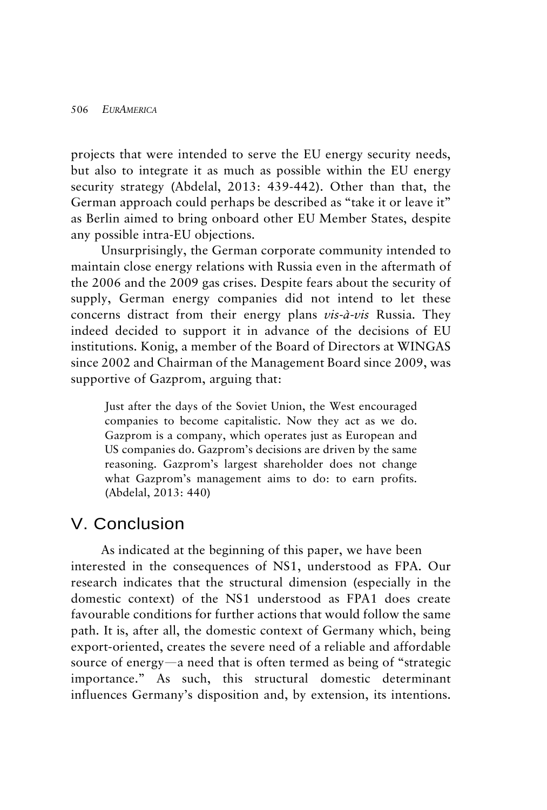projects that were intended to serve the EU energy security needs, but also to integrate it as much as possible within the EU energy security strategy (Abdelal, 2013: 439-442). Other than that, the German approach could perhaps be described as "take it or leave it" as Berlin aimed to bring onboard other EU Member States, despite any possible intra-EU objections.

Unsurprisingly, the German corporate community intended to maintain close energy relations with Russia even in the aftermath of the 2006 and the 2009 gas crises. Despite fears about the security of supply, German energy companies did not intend to let these concerns distract from their energy plans *vis-à-vis* Russia. They indeed decided to support it in advance of the decisions of EU institutions. Konig, a member of the Board of Directors at WINGAS since 2002 and Chairman of the Management Board since 2009, was supportive of Gazprom, arguing that:

Just after the days of the Soviet Union, the West encouraged companies to become capitalistic. Now they act as we do. Gazprom is a company, which operates just as European and US companies do. Gazprom's decisions are driven by the same reasoning. Gazprom's largest shareholder does not change what Gazprom's management aims to do: to earn profits. (Abdelal, 2013: 440)

### V. Conclusion

As indicated at the beginning of this paper, we have been interested in the consequences of NS1, understood as FPA. Our research indicates that the structural dimension (especially in the domestic context) of the NS1 understood as FPA1 does create favourable conditions for further actions that would follow the same path. It is, after all, the domestic context of Germany which, being export-oriented, creates the severe need of a reliable and affordable source of energy—a need that is often termed as being of "strategic importance." As such, this structural domestic determinant influences Germany's disposition and, by extension, its intentions.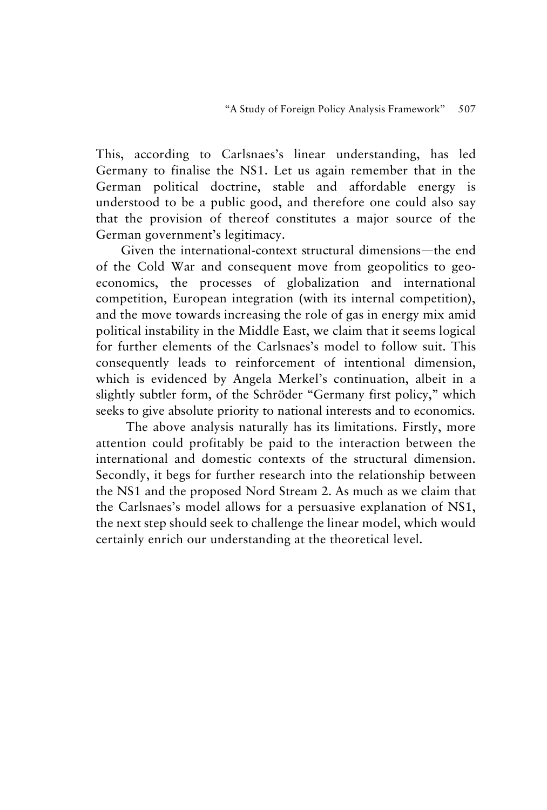This, according to Carlsnaes's linear understanding, has led Germany to finalise the NS1. Let us again remember that in the German political doctrine, stable and affordable energy is understood to be a public good, and therefore one could also say that the provision of thereof constitutes a major source of the German government's legitimacy.

Given the international-context structural dimensions—the end of the Cold War and consequent move from geopolitics to geoeconomics, the processes of globalization and international competition, European integration (with its internal competition), and the move towards increasing the role of gas in energy mix amid political instability in the Middle East, we claim that it seems logical for further elements of the Carlsnaes's model to follow suit. This consequently leads to reinforcement of intentional dimension, which is evidenced by Angela Merkel's continuation, albeit in a slightly subtler form, of the Schröder "Germany first policy," which seeks to give absolute priority to national interests and to economics.

The above analysis naturally has its limitations. Firstly, more attention could profitably be paid to the interaction between the international and domestic contexts of the structural dimension. Secondly, it begs for further research into the relationship between the NS1 and the proposed Nord Stream 2. As much as we claim that the Carlsnaes's model allows for a persuasive explanation of NS1, the next step should seek to challenge the linear model, which would certainly enrich our understanding at the theoretical level.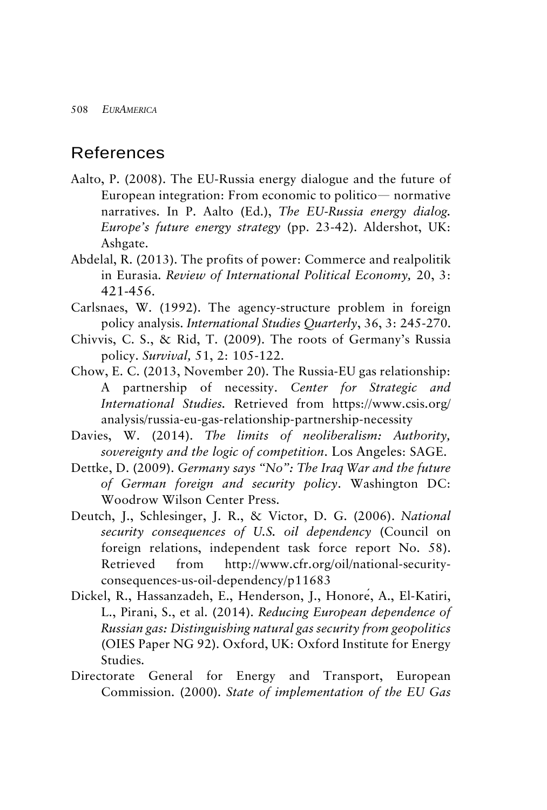### References

- Aalto, P. (2008). The EU-Russia energy dialogue and the future of European integration: From economic to politico— normative narratives. In P. Aalto (Ed.), *The EU-Russia energy dialog. Europe's future energy strategy* (pp. 23-42). Aldershot, UK: Ashgate.
- Abdelal, R. (2013). The profits of power: Commerce and realpolitik in Eurasia. *Review of International Political Economy,* 20, 3: 421-456.
- Carlsnaes, W. (1992). The agency-structure problem in foreign policy analysis. *International Studies Quarterly*, 36, 3: 245-270.
- Chivvis, C. S., & Rid, T. (2009). The roots of Germany's Russia policy. *Survival,* 51, 2: 105-122.
- Chow, E. C. (2013, November 20). The Russia-EU gas relationship: A partnership of necessity. *Center for Strategic and International Studies.* Retrieved from [https://www.csis.](https://www.csis/)org/ analysis/russia-eu-gas-relationship-partnership-necessity
- Davies, W. (2014). *The limits of neoliberalism: Authority, sovereignty and the logic of competition*. Los Angeles: SAGE.
- Dettke, D. (2009). *Germany says "No": The Iraq War and the future of German foreign and security policy*. Washington DC: Woodrow Wilson Center Press.
- Deutch, J., Schlesinger, J. R., & Victor, D. G. (2006). *National security consequences of U.S. oil dependency* (Council on foreign relations, independent task force report No. 58). Retrieved from http://www.cfr.org/oil/national-securityconsequences-us-oil-dependency/p11683
- Dickel, R., Hassanzadeh, E., Henderson, J., Honoré, A., El-Katiri, L., Pirani, S., et al. (2014). *Reducing European dependence of Russian gas: Distinguishing natural gas security from geopolitics* (OIES Paper NG 92). Oxford, UK: Oxford Institute for Energy Studies.
- Directorate General for Energy and Transport, European Commission. (2000). *State of implementation of the EU Gas*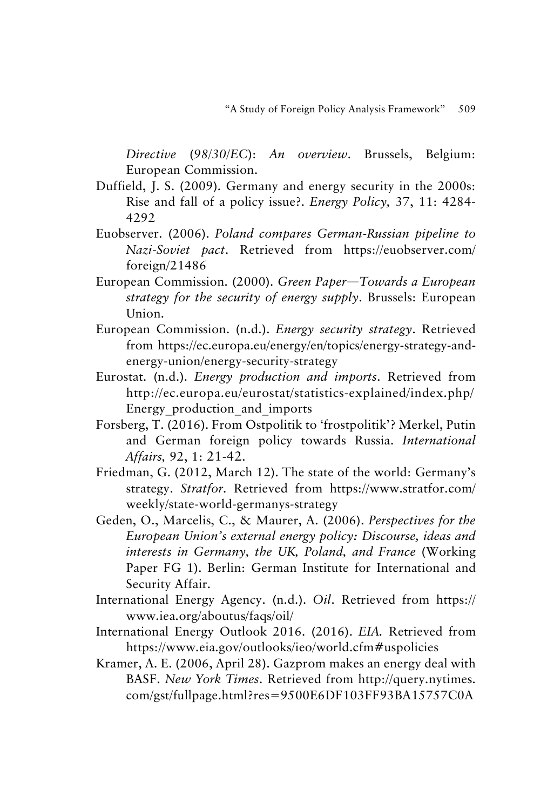*Directive* (*98/30/EC*): *An overview*. Brussels, Belgium: European Commission.

- Duffield, J. S. (2009). Germany and energy security in the 2000s: Rise and fall of a policy issue?. *Energy Policy,* 37, 11: 4284- 4292
- Euobserver. (2006). *Poland compares German-Russian pipeline to Nazi-Soviet pact*. Retrieved from https://euobserver.com/ foreign/21486
- European Commission. (2000). *Green Paper*—*Towards a European strategy for the security of energy supply*. Brussels: European Union.
- European Commission. (n.d.). *Energy security strategy*. Retrieved from https://ec.europa.eu/energy/en/topics/energy-strategy-andenergy-union/energy-security-strategy
- Eurostat. (n.d.). *Energy production and imports*. Retrieved from http://ec.europa.eu/eurostat/statistics-explained/index.php/ Energy\_production\_and\_imports
- Forsberg, T. (2016). From Ostpolitik to 'frostpolitik'? Merkel, Putin and German foreign policy towards Russia. *International Affairs,* 92, 1: 21-42.
- Friedman, G. (2012, March 12). The state of the world: Germany's strategy. *Stratfor*. Retrieved from https://www.stratfor.com/ weekly/state-world-germanys-strategy
- Geden, O., Marcelis, C., & Maurer, A. (2006). *Perspectives for the European Union's external energy policy: Discourse, ideas and interests in Germany, the UK, Poland, and France* (Working Paper FG 1). Berlin: German Institute for International and Security Affair.
- International Energy Agency. (n.d.). *Oil*. Retrieved from https:// www.iea.org/aboutus/faqs/oil/
- International Energy Outlook 2016. (2016). *EIA.* Retrieved from https://www.eia.gov/outlooks/ieo/world.cfm#uspolicies
- Kramer, A. E. (2006, April 28). Gazprom makes an energy deal with BASF. *New York Times*. Retrieved from [http://query.](http://query/)nytimes. com/gst/fullpage.html?res=9500E6DF103FF93BA15757C0A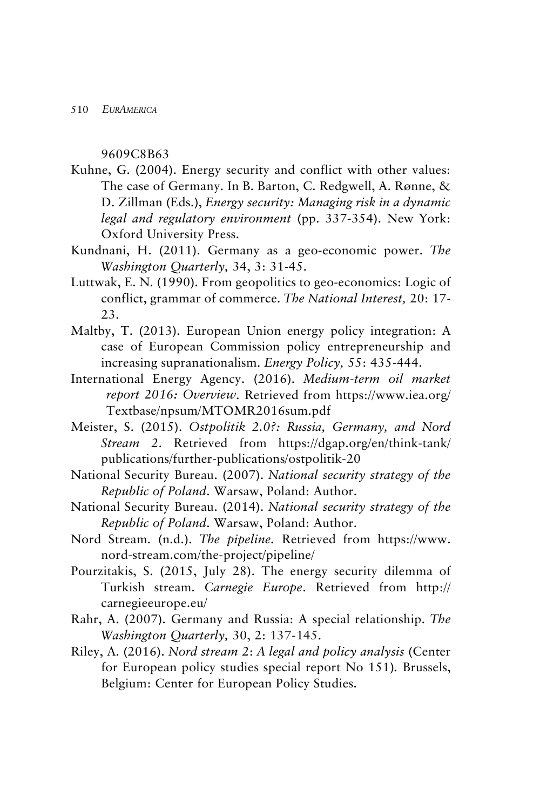9609C8B63

- Kuhne, G. (2004). Energy security and conflict with other values: The case of Germany. In B. Barton, C. Redgwell, A. Rønne, & D. Zillman (Eds.), *Energy security: Managing risk in a dynamic legal and regulatory environment* (pp. 337-354). New York: Oxford University Press.
- Kundnani, H. (2011). Germany as a geo-economic power. *The Washington Quarterly,* 34, 3: 31-45.
- Luttwak, E. N. (1990). From geopolitics to geo-economics: Logic of conflict, grammar of commerce. *The National Interest,* 20: 17- 23.
- Maltby, T. (2013). European Union energy policy integration: A case of European Commission policy entrepreneurship and increasing supranationalism. *Energy Policy,* 55: 435-444.
- International Energy Agency. (2016). *Medium-term oil market report 2016: Overview*. Retrieved from https://www.iea.org/ Textbase/npsum/MTOMR2016sum.pdf
- Meister, S. (2015). *Ostpolitik 2.0?: Russia, Germany, and Nord Stream 2*. Retrieved from https://dgap.org/en/think-tank/ publications/further-publications/ostpolitik-20
- National Security Bureau. (2007). *National security strategy of the Republic of Poland*. Warsaw, Poland: Author.
- National Security Bureau. (2014). *National security strategy of the Republic of Poland*. Warsaw, Poland: Author.
- Nord Stream. (n.d.). *The pipeline.* Retrieved from [https://www.](https://www/) nord-stream.com/the-project/pipeline/
- Pourzitakis, S. (2015, July 28). The energy security dilemma of Turkish stream. *Carnegie Europe*. Retrieved from http:// carnegieeurope.eu/
- Rahr, A. (2007). Germany and Russia: A special relationship. *The Washington Quarterly,* 30, 2: 137-145.
- Riley, A. (2016). *Nord stream 2*: *A legal and policy analysis* (Center for European policy studies special report No 151)*.* Brussels, Belgium: Center for European Policy Studies.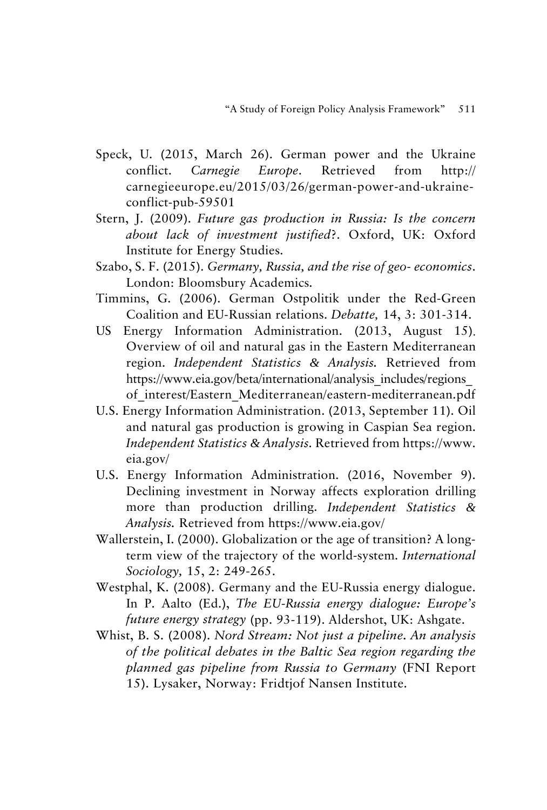- Speck, U. (2015, March 26). German power and the Ukraine conflict. *Carnegie Europe*. Retrieved from http:// carnegieeurope.eu/2015/03/26/german-power-and-ukraineconflict-pub-59501
- Stern, J. (2009). *Future gas production in Russia: Is the concern about lack of investment justified*?. Oxford, UK: Oxford Institute for Energy Studies.
- Szabo, S. F. (2015). *Germany, Russia, and the rise of geo- economics*. London: Bloomsbury Academics.
- Timmins, G. (2006). German Ostpolitik under the Red-Green Coalition and EU-Russian relations. *Debatte,* 14, 3: 301-314.
- US Energy Information Administration. (2013, August 15). Overview of oil and natural gas in the Eastern Mediterranean region. *Independent Statistics & Analysis.* Retrieved from https://www.eia.gov/beta/international/analysis\_includes/regions\_ of\_interest/Eastern\_Mediterranean/eastern-mediterranean.pdf
- U.S. Energy Information Administration. (2013, September 11). Oil and natural gas production is growing in Caspian Sea region. *Independent Statistics & Analysis*. Retrieved from https://www. eia.gov/
- U.S. Energy Information Administration. (2016, November 9). Declining investment in Norway affects exploration drilling more than production drilling. *Independent Statistics & Analysis.* Retrieved from https://www.eia.gov/
- Wallerstein, I. (2000). Globalization or the age of transition? A longterm view of the trajectory of the world-system. *International Sociology,* 15, 2: 249-265.
- Westphal, K. (2008). Germany and the EU-Russia energy dialogue. In P. Aalto (Ed.), *The EU-Russia energy dialogue: Europe's future energy strategy* (pp. 93-119). Aldershot, UK: Ashgate.
- Whist, B. S. (2008). *Nord Stream: Not just a pipeline. An analysis of the political debates in the Baltic Sea region regarding the planned gas pipeline from Russia to Germany* (FNI Report 15). Lysaker, Norway: Fridtjof Nansen Institute.